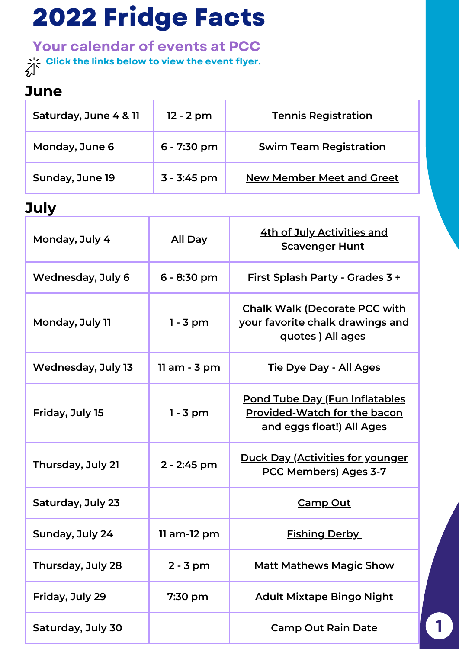# **2022 Fridge Facts**

**Your calendar of events at PCC Click the links below to view the event flyer.**

#### **June**

| Saturday, June 4 & 11 | $12 - 2 pm$   | <b>Tennis Registration</b>       |
|-----------------------|---------------|----------------------------------|
| Monday, June 6        | $6 - 7:30$ pm | <b>Swim Team Registration</b>    |
| Sunday, June 19       | $3 - 3:45$ pm | <b>New Member Meet and Greet</b> |

#### **July**

| Monday, July 4           | All Day        | <u>4th of July Activities and </u><br><b>Scavenger Hunt</b>                                                       |
|--------------------------|----------------|-------------------------------------------------------------------------------------------------------------------|
| <b>Wednesday, July 6</b> | $6 - 8:30$ pm  | <u> First Splash Party - Grades 3 +</u>                                                                           |
| Monday, July 11          | $1 - 3$ pm     | <b>Chalk Walk (Decorate PCC with</b><br>your favorite chalk drawings and<br>quotes) All ages                      |
| Wednesday, July 13       | $11$ am - 3 pm | <b>Tie Dye Day - All Ages</b>                                                                                     |
| Friday, July 15          | $1 - 3$ pm     | <u> Pond Tube Day (Fun Inflatables</u><br><b>Provided-Watch for the bacon</b><br><u>and eggs float!) All Ages</u> |
| Thursday, July 21        | 2 - 2:45 pm    | <u> Duck Day (Activities for younger</u><br><b>PCC Members) Ages 3-7</b>                                          |
| Saturday, July 23        |                | <u>Camp Out</u>                                                                                                   |
| Sunday, July 24          | 11 am-12 pm    | <b>Fishing Derby</b>                                                                                              |
| Thursday, July 28        | $2 - 3 pm$     | <b>Matt Mathews Magic Show</b>                                                                                    |
| Friday, July 29          | 7:30 pm        | <b>Adult Mixtape Bingo Night</b>                                                                                  |
| Saturday, July 30        |                | <b>Camp Out Rain Date</b>                                                                                         |

1